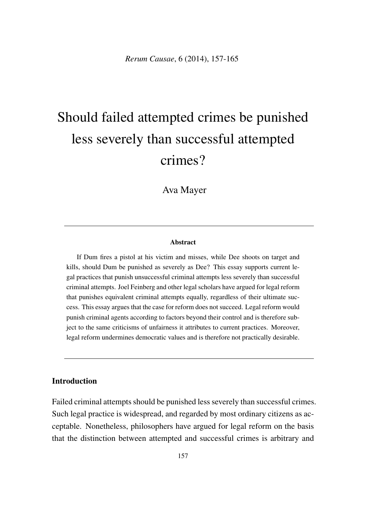# Should failed attempted crimes be punished less severely than successful attempted crimes?

Ava Mayer

#### Abstract

If Dum fires a pistol at his victim and misses, while Dee shoots on target and kills, should Dum be punished as severely as Dee? This essay supports current legal practices that punish unsuccessful criminal attempts less severely than successful criminal attempts. Joel Feinberg and other legal scholars have argued for legal reform that punishes equivalent criminal attempts equally, regardless of their ultimate success. This essay argues that the case for reform does not succeed. Legal reform would punish criminal agents according to factors beyond their control and is therefore subject to the same criticisms of unfairness it attributes to current practices. Moreover, legal reform undermines democratic values and is therefore not practically desirable.

### **Introduction**

Failed criminal attempts should be punished less severely than successful crimes. Such legal practice is widespread, and regarded by most ordinary citizens as acceptable. Nonetheless, philosophers have argued for legal reform on the basis that the distinction between attempted and successful crimes is arbitrary and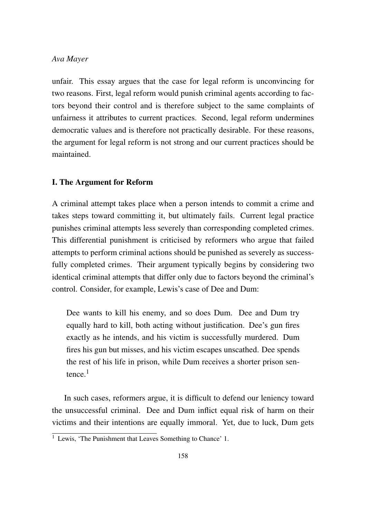unfair. This essay argues that the case for legal reform is unconvincing for two reasons. First, legal reform would punish criminal agents according to factors beyond their control and is therefore subject to the same complaints of unfairness it attributes to current practices. Second, legal reform undermines democratic values and is therefore not practically desirable. For these reasons, the argument for legal reform is not strong and our current practices should be maintained.

#### I. The Argument for Reform

A criminal attempt takes place when a person intends to commit a crime and takes steps toward committing it, but ultimately fails. Current legal practice punishes criminal attempts less severely than corresponding completed crimes. This differential punishment is criticised by reformers who argue that failed attempts to perform criminal actions should be punished as severely as successfully completed crimes. Their argument typically begins by considering two identical criminal attempts that differ only due to factors beyond the criminal's control. Consider, for example, Lewis's case of Dee and Dum:

Dee wants to kill his enemy, and so does Dum. Dee and Dum try equally hard to kill, both acting without justification. Dee's gun fires exactly as he intends, and his victim is successfully murdered. Dum fires his gun but misses, and his victim escapes unscathed. Dee spends the rest of his life in prison, while Dum receives a shorter prison sentence $1$ 

In such cases, reformers argue, it is difficult to defend our leniency toward the unsuccessful criminal. Dee and Dum inflict equal risk of harm on their victims and their intentions are equally immoral. Yet, due to luck, Dum gets

 $\frac{1}{1}$  Lewis, 'The Punishment that Leaves Something to Chance' 1.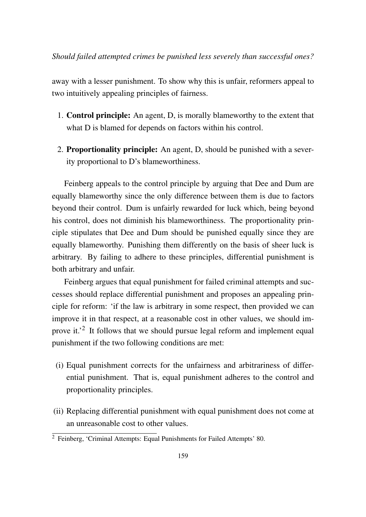away with a lesser punishment. To show why this is unfair, reformers appeal to two intuitively appealing principles of fairness.

- 1. Control principle: An agent, D, is morally blameworthy to the extent that what D is blamed for depends on factors within his control.
- 2. Proportionality principle: An agent, D, should be punished with a severity proportional to D's blameworthiness.

Feinberg appeals to the control principle by arguing that Dee and Dum are equally blameworthy since the only difference between them is due to factors beyond their control. Dum is unfairly rewarded for luck which, being beyond his control, does not diminish his blameworthiness. The proportionality principle stipulates that Dee and Dum should be punished equally since they are equally blameworthy. Punishing them differently on the basis of sheer luck is arbitrary. By failing to adhere to these principles, differential punishment is both arbitrary and unfair.

Feinberg argues that equal punishment for failed criminal attempts and successes should replace differential punishment and proposes an appealing principle for reform: 'if the law is arbitrary in some respect, then provided we can improve it in that respect, at a reasonable cost in other values, we should improve it.<sup>'2</sup> It follows that we should pursue legal reform and implement equal punishment if the two following conditions are met:

- (i) Equal punishment corrects for the unfairness and arbitrariness of differential punishment. That is, equal punishment adheres to the control and proportionality principles.
- (ii) Replacing differential punishment with equal punishment does not come at an unreasonable cost to other values.

 $\overline{2}$  Feinberg, 'Criminal Attempts: Equal Punishments for Failed Attempts' 80.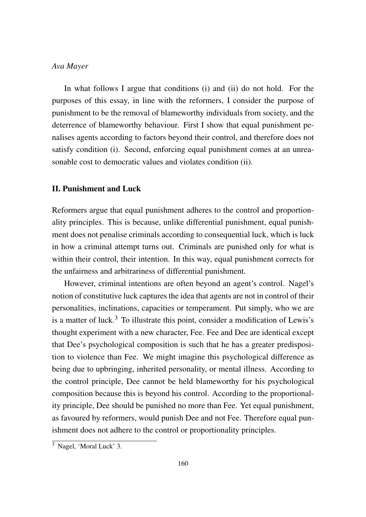In what follows I argue that conditions (i) and (ii) do not hold. For the purposes of this essay, in line with the reformers, I consider the purpose of punishment to be the removal of blameworthy individuals from society, and the deterrence of blameworthy behaviour. First I show that equal punishment penalises agents according to factors beyond their control, and therefore does not satisfy condition (i). Second, enforcing equal punishment comes at an unreasonable cost to democratic values and violates condition (ii).

#### II. Punishment and Luck

Reformers argue that equal punishment adheres to the control and proportionality principles. This is because, unlike differential punishment, equal punishment does not penalise criminals according to consequential luck, which is luck in how a criminal attempt turns out. Criminals are punished only for what is within their control, their intention. In this way, equal punishment corrects for the unfairness and arbitrariness of differential punishment.

However, criminal intentions are often beyond an agent's control. Nagel's notion of constitutive luck captures the idea that agents are not in control of their personalities, inclinations, capacities or temperament. Put simply, who we are is a matter of luck.<sup>3</sup> To illustrate this point, consider a modification of Lewis's thought experiment with a new character, Fee. Fee and Dee are identical except that Dee's psychological composition is such that he has a greater predisposition to violence than Fee. We might imagine this psychological difference as being due to upbringing, inherited personality, or mental illness. According to the control principle, Dee cannot be held blameworthy for his psychological composition because this is beyond his control. According to the proportionality principle, Dee should be punished no more than Fee. Yet equal punishment, as favoured by reformers, would punish Dee and not Fee. Therefore equal punishment does not adhere to the control or proportionality principles.

<sup>3</sup> Nagel, 'Moral Luck' 3.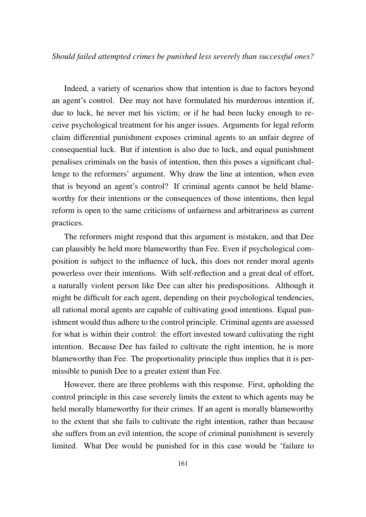Indeed, a variety of scenarios show that intention is due to factors beyond an agent's control. Dee may not have formulated his murderous intention if, due to luck, he never met his victim; or if he had been lucky enough to receive psychological treatment for his anger issues. Arguments for legal reform claim differential punishment exposes criminal agents to an unfair degree of consequential luck. But if intention is also due to luck, and equal punishment penalises criminals on the basis of intention, then this poses a significant challenge to the reformers' argument. Why draw the line at intention, when even that is beyond an agent's control? If criminal agents cannot be held blameworthy for their intentions or the consequences of those intentions, then legal reform is open to the same criticisms of unfairness and arbitrariness as current practices.

The reformers might respond that this argument is mistaken, and that Dee can plausibly be held more blameworthy than Fee. Even if psychological composition is subject to the influence of luck, this does not render moral agents powerless over their intentions. With self-reflection and a great deal of effort, a naturally violent person like Dee can alter his predispositions. Although it might be difficult for each agent, depending on their psychological tendencies, all rational moral agents are capable of cultivating good intentions. Equal punishment would thus adhere to the control principle. Criminal agents are assessed for what is within their control: the effort invested toward cultivating the right intention. Because Dee has failed to cultivate the right intention, he is more blameworthy than Fee. The proportionality principle thus implies that it is permissible to punish Dee to a greater extent than Fee.

However, there are three problems with this response. First, upholding the control principle in this case severely limits the extent to which agents may be held morally blameworthy for their crimes. If an agent is morally blameworthy to the extent that she fails to cultivate the right intention, rather than because she suffers from an evil intention, the scope of criminal punishment is severely limited. What Dee would be punished for in this case would be 'failure to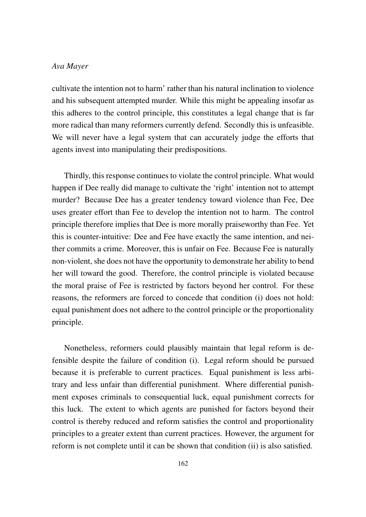cultivate the intention not to harm' rather than his natural inclination to violence and his subsequent attempted murder. While this might be appealing insofar as this adheres to the control principle, this constitutes a legal change that is far more radical than many reformers currently defend. Secondly this is unfeasible. We will never have a legal system that can accurately judge the efforts that agents invest into manipulating their predispositions.

Thirdly, this response continues to violate the control principle. What would happen if Dee really did manage to cultivate the 'right' intention not to attempt murder? Because Dee has a greater tendency toward violence than Fee, Dee uses greater effort than Fee to develop the intention not to harm. The control principle therefore implies that Dee is more morally praiseworthy than Fee. Yet this is counter-intuitive: Dee and Fee have exactly the same intention, and neither commits a crime. Moreover, this is unfair on Fee. Because Fee is naturally non-violent, she does not have the opportunity to demonstrate her ability to bend her will toward the good. Therefore, the control principle is violated because the moral praise of Fee is restricted by factors beyond her control. For these reasons, the reformers are forced to concede that condition (i) does not hold: equal punishment does not adhere to the control principle or the proportionality principle.

Nonetheless, reformers could plausibly maintain that legal reform is defensible despite the failure of condition (i). Legal reform should be pursued because it is preferable to current practices. Equal punishment is less arbitrary and less unfair than differential punishment. Where differential punishment exposes criminals to consequential luck, equal punishment corrects for this luck. The extent to which agents are punished for factors beyond their control is thereby reduced and reform satisfies the control and proportionality principles to a greater extent than current practices. However, the argument for reform is not complete until it can be shown that condition (ii) is also satisfied.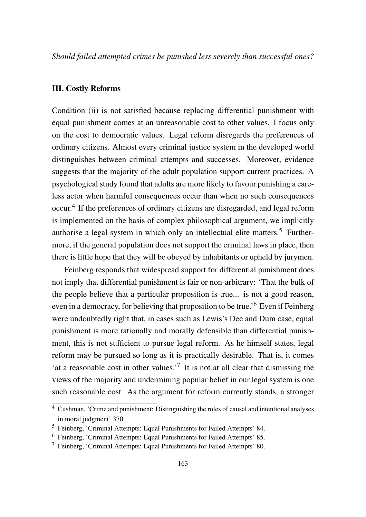*Should failed attempted crimes be punished less severely than successful ones?*

#### III. Costly Reforms

Condition (ii) is not satisfied because replacing differential punishment with equal punishment comes at an unreasonable cost to other values. I focus only on the cost to democratic values. Legal reform disregards the preferences of ordinary citizens. Almost every criminal justice system in the developed world distinguishes between criminal attempts and successes. Moreover, evidence suggests that the majority of the adult population support current practices. A psychological study found that adults are more likely to favour punishing a careless actor when harmful consequences occur than when no such consequences occur.4 If the preferences of ordinary citizens are disregarded, and legal reform is implemented on the basis of complex philosophical argument, we implicitly authorise a legal system in which only an intellectual elite matters.<sup>5</sup> Furthermore, if the general population does not support the criminal laws in place, then there is little hope that they will be obeyed by inhabitants or upheld by jurymen.

Feinberg responds that widespread support for differential punishment does not imply that differential punishment is fair or non-arbitrary: 'That the bulk of the people believe that a particular proposition is true... is not a good reason, even in a democracy, for believing that proposition to be true.'<sup>6</sup> Even if Feinberg were undoubtedly right that, in cases such as Lewis's Dee and Dum case, equal punishment is more rationally and morally defensible than differential punishment, this is not sufficient to pursue legal reform. As he himself states, legal reform may be pursued so long as it is practically desirable. That is, it comes 'at a reasonable cost in other values.<sup>'7</sup> It is not at all clear that dismissing the views of the majority and undermining popular belief in our legal system is one such reasonable cost. As the argument for reform currently stands, a stronger

 $\frac{4}{4}$  Cushman, 'Crime and punishment: Distinguishing the roles of causal and intentional analyses in moral judgment' 370.

<sup>5</sup> Feinberg, 'Criminal Attempts: Equal Punishments for Failed Attempts' 84.

<sup>6</sup> Feinberg, 'Criminal Attempts: Equal Punishments for Failed Attempts' 85.

<sup>7</sup> Feinberg, 'Criminal Attempts: Equal Punishments for Failed Attempts' 80.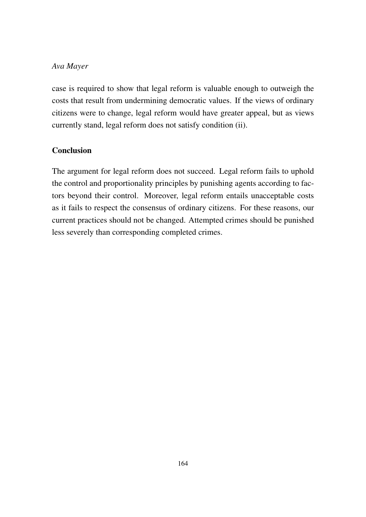case is required to show that legal reform is valuable enough to outweigh the costs that result from undermining democratic values. If the views of ordinary citizens were to change, legal reform would have greater appeal, but as views currently stand, legal reform does not satisfy condition (ii).

## Conclusion

The argument for legal reform does not succeed. Legal reform fails to uphold the control and proportionality principles by punishing agents according to factors beyond their control. Moreover, legal reform entails unacceptable costs as it fails to respect the consensus of ordinary citizens. For these reasons, our current practices should not be changed. Attempted crimes should be punished less severely than corresponding completed crimes.